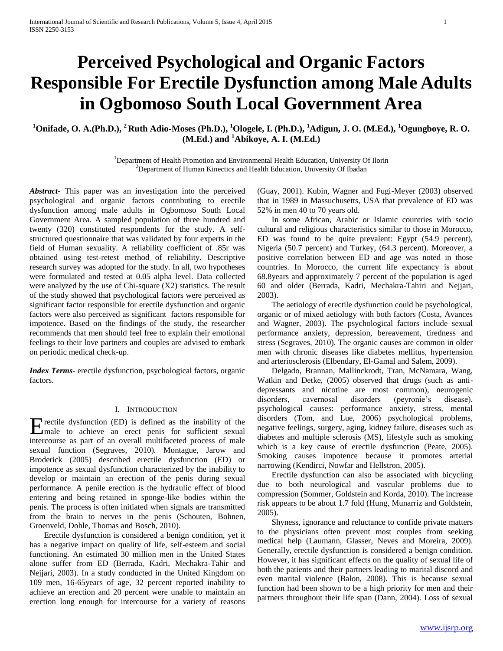# **Perceived Psychological and Organic Factors Responsible For Erectile Dysfunction among Male Adults in Ogbomoso South Local Government Area**

# **<sup>1</sup>Onifade, O. A.(Ph.D.), <sup>2</sup>Ruth Adio-Moses (Ph.D.), <sup>1</sup>Ologele, I. (Ph.D.), <sup>1</sup>Adigun, J. O. (M.Ed.), <sup>1</sup>Ogungboye, R. O. (M.Ed.) and <sup>1</sup>Abikoye, A. I. (M.Ed.)**

<sup>1</sup>Department of Health Promotion and Environmental Health Education, University Of Ilorin <sup>2</sup>Department of Human Kinectics and Health Education, University Of Ibadan

*Abstract***-** This paper was an investigation into the perceived psychological and organic factors contributing to erectile dysfunction among male adults in Ogbomoso South Local Government Area. A sampled population of three hundred and twenty (320) constituted respondents for the study. A selfstructured questionnaire that was validated by four experts in the field of Human sexuality. A reliability coefficient of .85r was obtained using test-retest method of reliability. Descriptive research survey was adopted for the study. In all, two hypotheses were formulated and tested at 0.05 alpha level. Data collected were analyzed by the use of Chi-square (X2) statistics. The result of the study showed that psychological factors were perceived as significant factor responsible for erectile dysfunction and organic factors were also perceived as significant factors responsible for impotence. Based on the findings of the study, the researcher recommends that men should feel free to explain their emotional feelings to their love partners and couples are advised to embark on periodic medical check-up.

*Index Terms*- erectile dysfunction, psychological factors, organic factors.

### I. INTRODUCTION

rectile dysfunction (ED) is defined as the inability of the **Exercise** dysfunction (ED) is defined as the inability of the male to achieve an erect penis for sufficient sexual intercourse as part of an overall multifaceted process of male sexual function (Segraves, 2010). Montague, Jarow and Broderick (2005) described erectile dysfunction (ED) or impotence as sexual dysfunction characterized by the inability to develop or maintain an erection of the penis during sexual performance. A penile erection is the hydraulic effect of blood entering and being retained in sponge-like bodies within the penis. The process is often initiated when signals are transmitted from the brain to nerves in the penis (Schouten, Bohnen, Groenveld, Dohle, Thomas and Bosch, 2010).

 Erectile dysfunction is considered a benign condition, yet it has a negative impact on quality of life, self-esteem and social functioning. An estimated 30 million men in the United States alone suffer from ED (Berrada, Kadri, Mechakra-Tahir and Nejjari, 2003). In a study conducted in the United Kingdom on 109 men, 16-65years of age, 32 percent reported inability to achieve an erection and 20 percent were unable to maintain an erection long enough for intercourse for a variety of reasons

(Guay, 2001). Kubin, Wagner and Fugi-Meyer (2003) observed that in 1989 in Massuchusetts, USA that prevalence of ED was 52% in men 40 to 70 years old.

 In some African, Arabic or Islamic countries with socio cultural and religious characteristics similar to those in Morocco, ED was found to be quite prevalent: Egypt (54.9 percent), Nigeria (50.7 percent) and Turkey, (64.3 percent). Moreover, a positive correlation between ED and age was noted in those countries. In Morocco, the current life expectancy is about 68.8years and approximately 7 percent of the population is aged 60 and older (Berrada, Kadri, Mechakra-Tahiri and Nejjari, 2003).

 The aetiology of erectile dysfunction could be psychological, organic or of mixed aetiology with both factors (Costa, Avances and Wagner, 2003). The psychological factors include sexual performance anxiety, depression, bereavement, tiredness and stress (Segraves, 2010). The organic causes are common in older men with chronic diseases like diabetes mellitus, hypertension and arteriosclerosis (Elbendary, El-Gamal and Salem, 2009).

 Delgado, Brannan, Mallinckrodt, Tran, McNamara, Wang, Watkin and Detke, (2005) observed that drugs (such as antidepressants and nicotine are most common), neurogenic disorders, cavernosal disorders (peyronie's disease), psychological causes: performance anxiety, stress, mental disorders (Tom, and Lue, 2006) psychological problems, negative feelings, surgery, aging, kidney failure, diseases such as diabetes and multiple sclerosis (MS), lifestyle such as smoking which is a key cause of erectile dysfunction (Peate, 2005). Smoking causes impotence because it promotes arterial narrowing (Kendirci, Nowfar and Hellstron, 2005).

 Erectile dysfunction can also be associated with bicycling due to both neurological and vascular problems due to compression (Sommer, Goldstein and Korda, 2010). The increase risk appears to be about 1.7 fold (Hung, Munarriz and Goldstein, 2005).

 Shyness, ignorance and reluctance to confide private matters to the physicians often prevent most couples from seeking medical help (Laumann, Glasser, Neves and Moreira, 2009). Generally, erectile dysfunction is considered a benign condition. However, it has significant effects on the quality of sexual life of both the patients and their partners leading to marital discord and even marital violence (Balon, 2008). This is because sexual function had been shown to be a high priority for men and their partners throughout their life span (Dann, 2004). Loss of sexual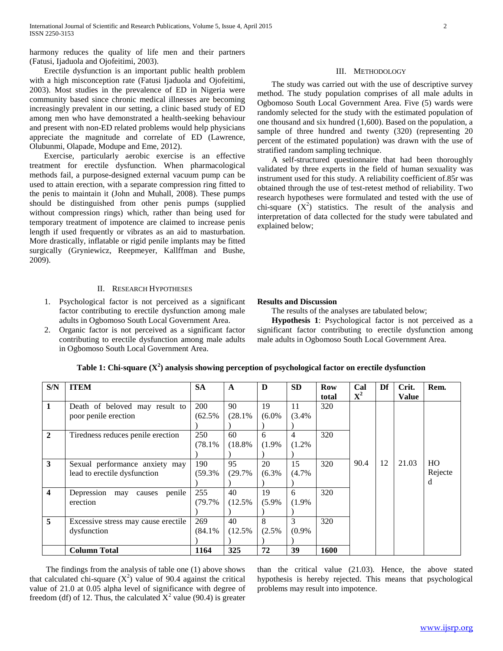harmony reduces the quality of life men and their partners (Fatusi, Ijaduola and Ojofeitimi, 2003).

## Erectile dysfunction is an important public health problem with a high misconception rate (Fatusi Ijaduola and Ojofeitimi, 2003). Most studies in the prevalence of ED in Nigeria were community based since chronic medical illnesses are becoming increasingly prevalent in our setting, a clinic based study of ED among men who have demonstrated a health-seeking behaviour and present with non-ED related problems would help physicians appreciate the magnitude and correlate of ED (Lawrence, Olubunmi, Olapade, Modupe and Eme, 2012).

 Exercise, particularly aerobic exercise is an effective treatment for erectile dysfunction. When pharmacological methods fail, a purpose-designed external vacuum pump can be used to attain erection, with a separate compression ring fitted to the penis to maintain it (John and Muhall, 2008). These pumps should be distinguished from other penis pumps (supplied without compression rings) which, rather than being used for temporary treatment of impotence are claimed to increase penis length if used frequently or vibrates as an aid to masturbation. More drastically, inflatable or rigid penile implants may be fitted surgically (Gryniewicz, Reepmeyer, Kallffman and Bushe, 2009).

## II. RESEARCH HYPOTHESES

- 1. Psychological factor is not perceived as a significant factor contributing to erectile dysfunction among male adults in Ogbomoso South Local Government Area.
- 2. Organic factor is not perceived as a significant factor contributing to erectile dysfunction among male adults in Ogbomoso South Local Government Area.

## III. METHODOLOGY

 The study was carried out with the use of descriptive survey method. The study population comprises of all male adults in Ogbomoso South Local Government Area. Five (5) wards were randomly selected for the study with the estimated population of one thousand and six hundred (1,600). Based on the population, a sample of three hundred and twenty (320) (representing 20 percent of the estimated population) was drawn with the use of stratified random sampling technique.

 A self-structured questionnaire that had been thoroughly validated by three experts in the field of human sexuality was instrument used for this study. A reliability coefficient of.85r was obtained through the use of test-retest method of reliability. Two research hypotheses were formulated and tested with the use of chi-square  $(X^2)$  statistics. The result of the analysis and interpretation of data collected for the study were tabulated and explained below;

## **Results and Discussion**

The results of the analyses are tabulated below;

 **Hypothesis 1**: Psychological factor is not perceived as a significant factor contributing to erectile dysfunction among male adults in Ogbomoso South Local Government Area.

| S/N                     | <b>ITEM</b>                           | <b>SA</b> | A      | D        | <b>SD</b> | <b>Row</b> | Cal         | Df | Crit. | Rem.           |
|-------------------------|---------------------------------------|-----------|--------|----------|-----------|------------|-------------|----|-------|----------------|
|                         |                                       |           |        |          |           | total      | ${\bf X}^2$ |    | Value |                |
| $\mathbf{1}$            | Death of beloved may result to        | 200       | 90     | 19       | 11        | 320        |             |    |       |                |
|                         | poor penile erection                  | (62.5%    | (28.1% | $(6.0\%$ | (3.4%     |            |             |    |       |                |
|                         |                                       |           |        |          |           |            |             |    |       |                |
| $\overline{2}$          | Tiredness reduces penile erection     | 250       | 60     | 6        | 4         | 320        |             |    |       |                |
|                         |                                       | (78.1%    | (18.8% | (1.9%    | (1.2%     |            |             |    |       |                |
|                         |                                       |           |        |          |           |            |             |    |       |                |
| $\mathbf{3}$            | Sexual performance anxiety may        | 190       | 95     | 20       | 15        | 320        | 90.4        | 12 | 21.03 | H <sub>O</sub> |
|                         | lead to erectile dysfunction          | (59.3%    | (29.7% | (6.3%    | (4.7%     |            |             |    |       | Rejecte        |
|                         |                                       |           |        |          |           |            |             |    |       | d              |
| $\overline{\mathbf{4}}$ | Depression<br>penile<br>may<br>causes | 255       | 40     | 19       | 6         | 320        |             |    |       |                |
|                         | erection                              | (79.7%    | (12.5% | (5.9%    | (1.9%     |            |             |    |       |                |
|                         |                                       |           |        |          |           |            |             |    |       |                |
| $5\overline{)}$         | Excessive stress may cause erectile   | 269       | 40     | 8        | 3         | 320        |             |    |       |                |
|                         | dysfunction                           | (84.1%    | (12.5% | (2.5%    | (0.9%     |            |             |    |       |                |
|                         |                                       |           |        |          |           |            |             |    |       |                |
|                         | <b>Column Total</b>                   | 1164      | 325    | 72       | 39        | 1600       |             |    |       |                |

**Table 1: Chi-square (X<sup>2</sup> ) analysis showing perception of psychological factor on erectile dysfunction**

 The findings from the analysis of table one (1) above shows that calculated chi-square  $(X^2)$  value of 90.4 against the critical value of 21.0 at 0.05 alpha level of significance with degree of freedom (df) of 12. Thus, the calculated  $X^2$  value (90.4) is greater than the critical value (21.03). Hence, the above stated hypothesis is hereby rejected. This means that psychological problems may result into impotence.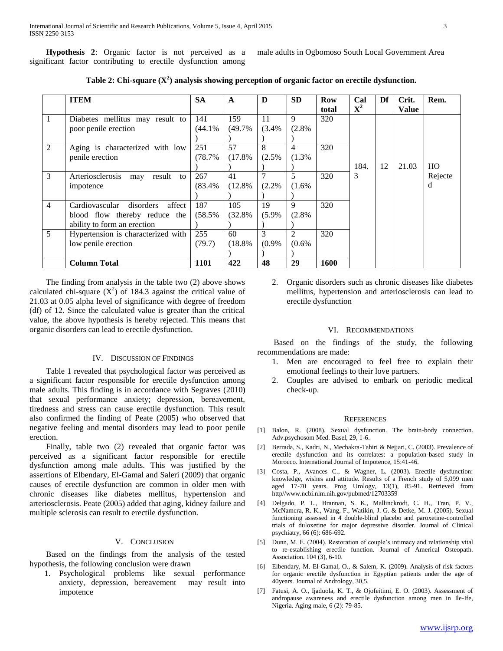**Hypothesis 2**: Organic factor is not perceived as a significant factor contributing to erectile dysfunction among

male adults in Ogbomoso South Local Government Area

|  | Table 2: Chi-square $(X^2)$ analysis showing perception of organic factor on erectile dysfunction. |
|--|----------------------------------------------------------------------------------------------------|
|  |                                                                                                    |

|                | <b>ITEM</b>                           | <b>SA</b> | $\mathbf{A}$ | D        | <b>SD</b>      | Row   | Cal         | Df | Crit.        | Rem.           |
|----------------|---------------------------------------|-----------|--------------|----------|----------------|-------|-------------|----|--------------|----------------|
|                |                                       |           |              |          |                | total | ${\bf X}^2$ |    | <b>Value</b> |                |
| 1              | Diabetes mellitus may result to       | 141       | 159          | 11       | 9              | 320   |             |    |              |                |
|                | poor penile erection                  | (44.1%    | (49.7%       | (3.4%    | (2.8%          |       |             |    |              |                |
|                |                                       |           |              |          |                |       |             |    |              |                |
| 2              | Aging is characterized with low       | 251       | 57           | 8        | $\overline{4}$ | 320   |             |    |              |                |
|                | penile erection                       | (78.7%    | (17.8%       | $(2.5\%$ | (1.3%          |       |             |    |              |                |
|                |                                       |           |              |          |                |       | 184.        | 12 | 21.03        | H <sub>O</sub> |
| 3              | result to<br>Arteriosclerosis<br>may  | 267       | 41           |          | $\overline{5}$ | 320   | 3           |    |              | Rejecte        |
|                | impotence                             | (83.4%    | (12.8%       | (2.2%    | (1.6%          |       |             |    |              | d              |
|                |                                       |           |              |          |                |       |             |    |              |                |
| $\overline{4}$ | Cardiovascular<br>disorders<br>affect | 187       | 105          | 19       | 9              | 320   |             |    |              |                |
|                | blood flow thereby reduce the         | (58.5%    | (32.8%       | $(5.9\%$ | (2.8%          |       |             |    |              |                |
|                | ability to form an erection           |           |              |          |                |       |             |    |              |                |
| 5              | Hypertension is characterized with    | 255       | 60           | 3        | $\mathfrak{D}$ | 320   |             |    |              |                |
|                | low penile erection                   | (79.7)    | (18.8%       | (0.9%    | (0.6%          |       |             |    |              |                |
|                |                                       |           |              |          |                |       |             |    |              |                |
|                | <b>Column Total</b>                   | 1101      | 422          | 48       | 29             | 1600  |             |    |              |                |

 The finding from analysis in the table two (2) above shows calculated chi-square  $(X^2)$  of 184.3 against the critical value of 21.03 at 0.05 alpha level of significance with degree of freedom (df) of 12. Since the calculated value is greater than the critical value, the above hypothesis is hereby rejected. This means that organic disorders can lead to erectile dysfunction.

#### IV. DISCUSSION OF FINDINGS

 Table 1 revealed that psychological factor was perceived as a significant factor responsible for erectile dysfunction among male adults. This finding is in accordance with Segraves (2010) that sexual performance anxiety; depression, bereavement, tiredness and stress can cause erectile dysfunction. This result also confirmed the finding of Peate (2005) who observed that negative feeling and mental disorders may lead to poor penile erection.

 Finally, table two (2) revealed that organic factor was perceived as a significant factor responsible for erectile dysfunction among male adults. This was justified by the assertions of Elbendary, El-Gamal and Saleri (2009) that organic causes of erectile dysfunction are common in older men with chronic diseases like diabetes mellitus, hypertension and arteriosclerosis. Peate (2005) added that aging, kidney failure and multiple sclerosis can result to erectile dysfunction.

#### V. CONCLUSION

 Based on the findings from the analysis of the tested hypothesis, the following conclusion were drawn

1. Psychological problems like sexual performance anxiety, depression, bereavement may result into impotence

2. Organic disorders such as chronic diseases like diabetes mellitus, hypertension and arteriosclerosis can lead to erectile dysfunction

### VI. RECOMMENDATIONS

 Based on the findings of the study, the following recommendations are made:

- 1. Men are encouraged to feel free to explain their emotional feelings to their love partners.
- 2. Couples are advised to embark on periodic medical check-up.

#### **REFERENCES**

- [1] Balon, R. (2008). Sexual dysfunction. The brain-body connection. Adv.psychosom Med. Basel, 29, 1-6.
- [2] Berrada, S., Kadri, N., Mechakra-Tahiri & Nejjari, C. (2003). Prevalence of erectile dysfunction and its correlates: a population-based study in Morocco. International Journal of Impotence, 15:41-46.
- [3] Costa, P., Avances C., & Wagner, L. (2003). Erectile dysfunction: knowledge, wishes and attitude. Results of a French study of 5,099 men aged 17-70 years. Prog Urology, 13(1), 85-91. Retrieved from http//www.ncbi.nlm.nih.gov/pubmed/12703359
- [4] Delgado, P. L., Brannan, S. K., Mallinckrodt, C. H., Tran, P. V., McNamcra, R. K., Wang, F., Watikin, J. G. & Detke, M. J. (2005). Sexual functioning assessed in 4 double-blind placebo and paroxetine-controlled trials of duloxetine for major depressive disorder. Journal of Clinical psychiatry, 66 (6): 686-692.
- [5] Dunn, M. E. (2004). Restoration of couple's intimacy and relationship vital to re-establishing erectile function. Journal of Americal Osteopath. Association. 104 (3), 6-10.
- [6] Elbendary, M. El-Gamal, O., & Salem, K. (2009). Analysis of risk factors for organic erectile dysfunction in Egyptian patients under the age of 40years. Journal of Andrology, 30,5.
- [7] Fatusi, A. O., Ijaduola, K. T., & Ojofeitimi, E. O. (2003). Assessment of andropause awareness and erectile dysfunction among men in Ile-Ife, Nigeria. Aging male, 6 (2): 79-85.